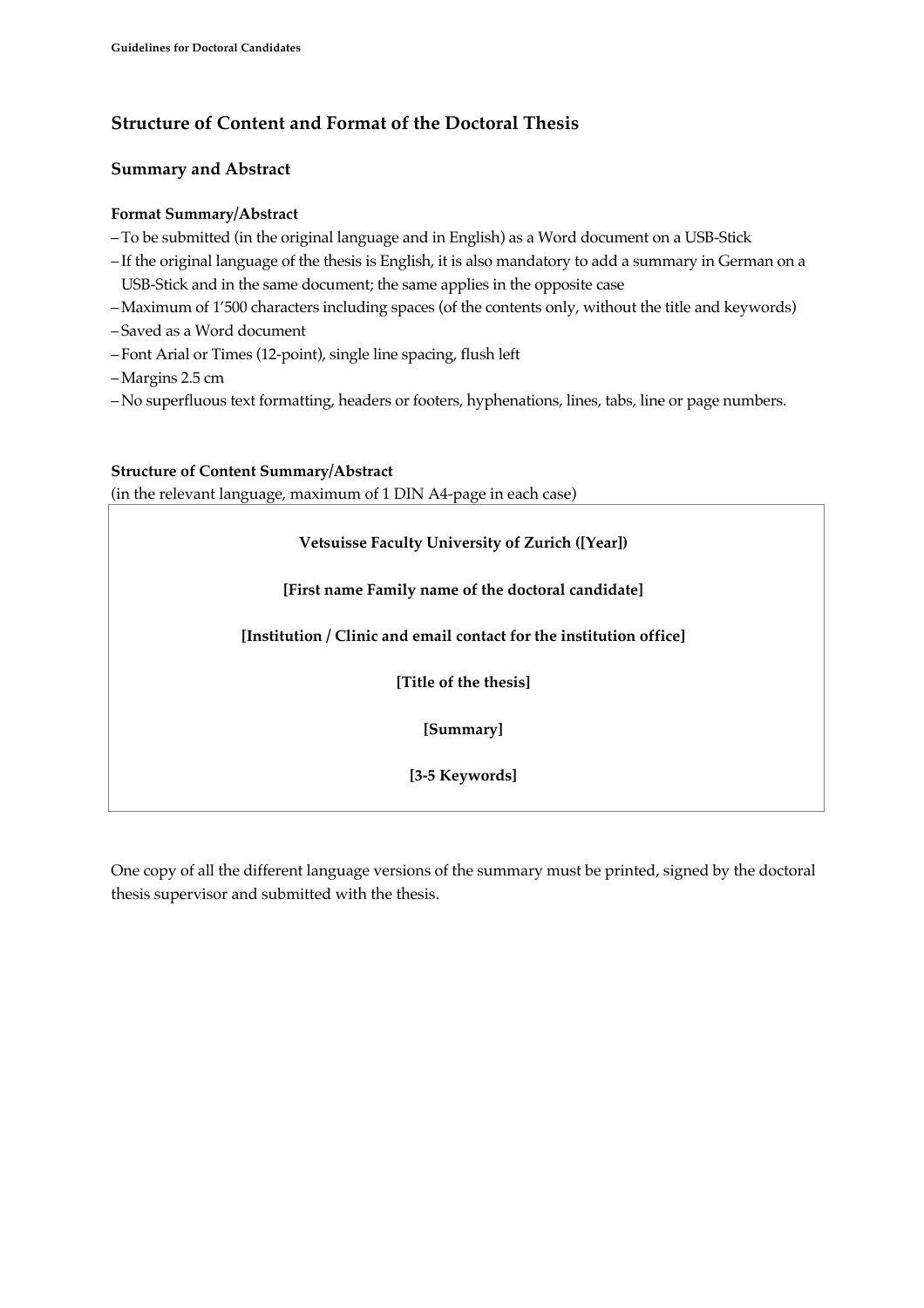# **Structure of Content and Format of the Doctoral Thesis**

# **Summary and Abstract**

#### **Format Summary/Abstract**

- –To be submitted (in the original language and in English) as a Word document on a USB-Stick
- If the original language of the thesis is English, it is also mandatory to add a summary in German on a USB-Stick and in the same document; the same applies in the opposite case
- –Maximum of 1'500 characters including spaces (of the contents only, without the title and keywords)
- Saved as a Word document
- Font Arial or Times (12-point), single line spacing, flush left
- –Margins 2.5 cm
- No superfluous text formatting, headers or footers, hyphenations, lines, tabs, line or page numbers.

#### **Structure of Content Summary/Abstract**

(in the relevant language, maximum of 1 DIN A4-page in each case)

## **Vetsuisse Faculty University of Zurich ([Year])**

## **[First name Family name of the doctoral candidate]**

**[Institution / Clinic and email contact for the institution office]**

**[Title of the thesis]**

**[Summary]**

**[3-5 Keywords]**

One copy of all the different language versions of the summary must be printed, signed by the doctoral thesis supervisor and submitted with the thesis.